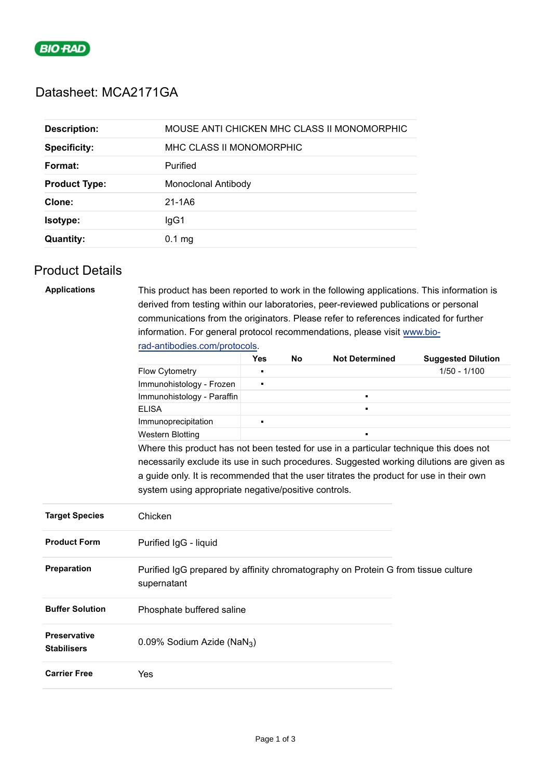

# Datasheet: MCA2171GA

| <b>Description:</b>  | MOUSE ANTI CHICKEN MHC CLASS II MONOMORPHIC |
|----------------------|---------------------------------------------|
| <b>Specificity:</b>  | MHC CLASS II MONOMORPHIC                    |
| Format:              | Purified                                    |
| <b>Product Type:</b> | Monoclonal Antibody                         |
| Clone:               | 21-1A6                                      |
| <b>Isotype:</b>      | lgG1                                        |
| <b>Quantity:</b>     | $0.1$ mg                                    |

## Product Details

| <b>Applications</b>                       | This product has been reported to work in the following applications. This information is                                                                                           |                |  |  |                |  |  |
|-------------------------------------------|-------------------------------------------------------------------------------------------------------------------------------------------------------------------------------------|----------------|--|--|----------------|--|--|
|                                           | derived from testing within our laboratories, peer-reviewed publications or personal                                                                                                |                |  |  |                |  |  |
|                                           | communications from the originators. Please refer to references indicated for further                                                                                               |                |  |  |                |  |  |
|                                           | information. For general protocol recommendations, please visit www.bio-                                                                                                            |                |  |  |                |  |  |
|                                           | rad-antibodies.com/protocols.                                                                                                                                                       |                |  |  |                |  |  |
|                                           | <b>Yes</b><br><b>No</b><br><b>Not Determined</b><br><b>Suggested Dilution</b>                                                                                                       |                |  |  |                |  |  |
|                                           | Flow Cytometry                                                                                                                                                                      | $\blacksquare$ |  |  | $1/50 - 1/100$ |  |  |
|                                           | Immunohistology - Frozen                                                                                                                                                            | ٠              |  |  |                |  |  |
|                                           | Immunohistology - Paraffin                                                                                                                                                          |                |  |  |                |  |  |
|                                           | <b>ELISA</b>                                                                                                                                                                        |                |  |  |                |  |  |
|                                           | Immunoprecipitation                                                                                                                                                                 | $\blacksquare$ |  |  |                |  |  |
|                                           | <b>Western Blotting</b>                                                                                                                                                             |                |  |  |                |  |  |
|                                           | Where this product has not been tested for use in a particular technique this does not                                                                                              |                |  |  |                |  |  |
|                                           | necessarily exclude its use in such procedures. Suggested working dilutions are given as<br>a guide only. It is recommended that the user titrates the product for use in their own |                |  |  |                |  |  |
|                                           |                                                                                                                                                                                     |                |  |  |                |  |  |
|                                           | system using appropriate negative/positive controls.                                                                                                                                |                |  |  |                |  |  |
|                                           |                                                                                                                                                                                     |                |  |  |                |  |  |
| <b>Target Species</b>                     | Chicken                                                                                                                                                                             |                |  |  |                |  |  |
| <b>Product Form</b>                       | Purified IgG - liquid                                                                                                                                                               |                |  |  |                |  |  |
| Preparation                               | Purified IgG prepared by affinity chromatography on Protein G from tissue culture<br>supernatant                                                                                    |                |  |  |                |  |  |
| <b>Buffer Solution</b>                    | Phosphate buffered saline                                                                                                                                                           |                |  |  |                |  |  |
| <b>Preservative</b><br><b>Stabilisers</b> | 0.09% Sodium Azide (NaN <sub>3</sub> )                                                                                                                                              |                |  |  |                |  |  |
| <b>Carrier Free</b>                       | Yes                                                                                                                                                                                 |                |  |  |                |  |  |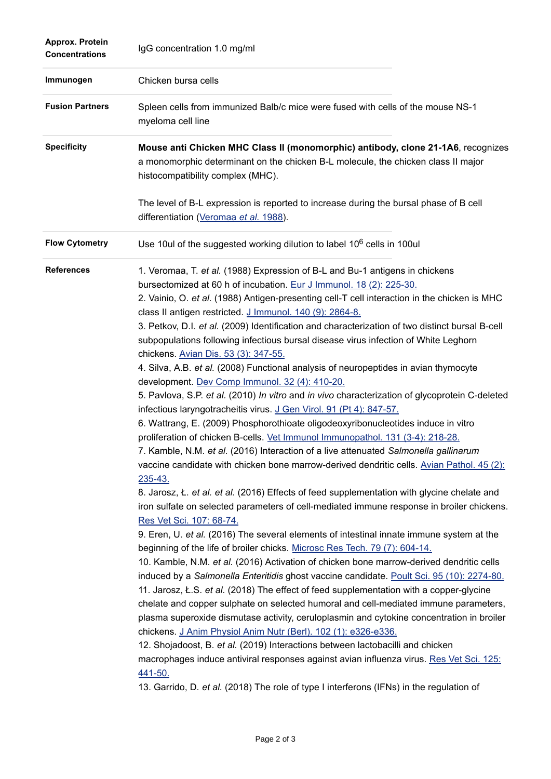| Approx. Protein<br><b>Concentrations</b> | IgG concentration 1.0 mg/ml                                                                                                                                                                                                                                                                                                                                                                                                                                                                                                                                                                                                                                                                                                                                                                                                                                                                                                                                                                                                                                                                                                                                                                                                                                                                                                                                                                                                                                                                                                                                                                                                                                                                                                                                                                                                                                                                                                                                                                                                                                                                                                                                                                                                                                                                                                                                                                                                                                                  |
|------------------------------------------|------------------------------------------------------------------------------------------------------------------------------------------------------------------------------------------------------------------------------------------------------------------------------------------------------------------------------------------------------------------------------------------------------------------------------------------------------------------------------------------------------------------------------------------------------------------------------------------------------------------------------------------------------------------------------------------------------------------------------------------------------------------------------------------------------------------------------------------------------------------------------------------------------------------------------------------------------------------------------------------------------------------------------------------------------------------------------------------------------------------------------------------------------------------------------------------------------------------------------------------------------------------------------------------------------------------------------------------------------------------------------------------------------------------------------------------------------------------------------------------------------------------------------------------------------------------------------------------------------------------------------------------------------------------------------------------------------------------------------------------------------------------------------------------------------------------------------------------------------------------------------------------------------------------------------------------------------------------------------------------------------------------------------------------------------------------------------------------------------------------------------------------------------------------------------------------------------------------------------------------------------------------------------------------------------------------------------------------------------------------------------------------------------------------------------------------------------------------------------|
| Immunogen                                | Chicken bursa cells                                                                                                                                                                                                                                                                                                                                                                                                                                                                                                                                                                                                                                                                                                                                                                                                                                                                                                                                                                                                                                                                                                                                                                                                                                                                                                                                                                                                                                                                                                                                                                                                                                                                                                                                                                                                                                                                                                                                                                                                                                                                                                                                                                                                                                                                                                                                                                                                                                                          |
| <b>Fusion Partners</b>                   | Spleen cells from immunized Balb/c mice were fused with cells of the mouse NS-1<br>myeloma cell line                                                                                                                                                                                                                                                                                                                                                                                                                                                                                                                                                                                                                                                                                                                                                                                                                                                                                                                                                                                                                                                                                                                                                                                                                                                                                                                                                                                                                                                                                                                                                                                                                                                                                                                                                                                                                                                                                                                                                                                                                                                                                                                                                                                                                                                                                                                                                                         |
| <b>Specificity</b>                       | Mouse anti Chicken MHC Class II (monomorphic) antibody, clone 21-1A6, recognizes<br>a monomorphic determinant on the chicken B-L molecule, the chicken class II major<br>histocompatibility complex (MHC).                                                                                                                                                                                                                                                                                                                                                                                                                                                                                                                                                                                                                                                                                                                                                                                                                                                                                                                                                                                                                                                                                                                                                                                                                                                                                                                                                                                                                                                                                                                                                                                                                                                                                                                                                                                                                                                                                                                                                                                                                                                                                                                                                                                                                                                                   |
|                                          | The level of B-L expression is reported to increase during the bursal phase of B cell<br>differentiation (Veromaa et al. 1988).                                                                                                                                                                                                                                                                                                                                                                                                                                                                                                                                                                                                                                                                                                                                                                                                                                                                                                                                                                                                                                                                                                                                                                                                                                                                                                                                                                                                                                                                                                                                                                                                                                                                                                                                                                                                                                                                                                                                                                                                                                                                                                                                                                                                                                                                                                                                              |
| <b>Flow Cytometry</b>                    | Use 10ul of the suggested working dilution to label 10 <sup>6</sup> cells in 100ul                                                                                                                                                                                                                                                                                                                                                                                                                                                                                                                                                                                                                                                                                                                                                                                                                                                                                                                                                                                                                                                                                                                                                                                                                                                                                                                                                                                                                                                                                                                                                                                                                                                                                                                                                                                                                                                                                                                                                                                                                                                                                                                                                                                                                                                                                                                                                                                           |
| <b>References</b>                        | 1. Veromaa, T. et al. (1988) Expression of B-L and Bu-1 antigens in chickens<br>bursectomized at 60 h of incubation. Eur J Immunol. 18 (2): 225-30.<br>2. Vainio, O. et al. (1988) Antigen-presenting cell-T cell interaction in the chicken is MHC<br>class II antigen restricted. J Immunol. 140 (9): 2864-8.<br>3. Petkov, D.I. et al. (2009) Identification and characterization of two distinct bursal B-cell<br>subpopulations following infectious bursal disease virus infection of White Leghorn<br>chickens. Avian Dis. 53 (3): 347-55.<br>4. Silva, A.B. et al. (2008) Functional analysis of neuropeptides in avian thymocyte<br>development. Dev Comp Immunol. 32 (4): 410-20.<br>5. Pavlova, S.P. et al. (2010) In vitro and in vivo characterization of glycoprotein C-deleted<br>infectious laryngotracheitis virus. J Gen Virol. 91 (Pt 4): 847-57.<br>6. Wattrang, E. (2009) Phosphorothioate oligodeoxyribonucleotides induce in vitro<br>proliferation of chicken B-cells. Vet Immunol Immunopathol. 131 (3-4): 218-28.<br>7. Kamble, N.M. et al. (2016) Interaction of a live attenuated Salmonella gallinarum<br>vaccine candidate with chicken bone marrow-derived dendritic cells. Avian Pathol. 45 (2):<br>235-43.<br>8. Jarosz, Ł. et al. et al. (2016) Effects of feed supplementation with glycine chelate and<br>iron sulfate on selected parameters of cell-mediated immune response in broiler chickens.<br>Res Vet Sci. 107: 68-74.<br>9. Eren, U. et al. (2016) The several elements of intestinal innate immune system at the<br>beginning of the life of broiler chicks. Microsc Res Tech. 79 (7): 604-14.<br>10. Kamble, N.M. et al. (2016) Activation of chicken bone marrow-derived dendritic cells<br>induced by a Salmonella Enteritidis ghost vaccine candidate. Poult Sci. 95 (10): 2274-80.<br>11. Jarosz, Ł.S. et al. (2018) The effect of feed supplementation with a copper-glycine<br>chelate and copper sulphate on selected humoral and cell-mediated immune parameters,<br>plasma superoxide dismutase activity, ceruloplasmin and cytokine concentration in broiler<br>chickens. J Anim Physiol Anim Nutr (Berl). 102 (1): e326-e336.<br>12. Shojadoost, B. et al. (2019) Interactions between lactobacilli and chicken<br>macrophages induce antiviral responses against avian influenza virus. Res Vet Sci. 125:<br>441-50.<br>13. Garrido, D. et al. (2018) The role of type I interferons (IFNs) in the regulation of |